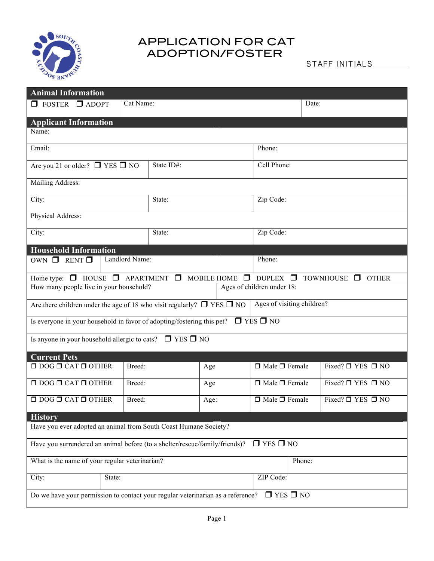

## APPLICATION FOR CAT ADOPTION/FOSTER

STAFF INITIALS\_\_\_\_\_\_\_\_\_

| <b>Animal Information</b>                                                                                                                            |        |            |     |                           |                            |                             |                             |  |
|------------------------------------------------------------------------------------------------------------------------------------------------------|--------|------------|-----|---------------------------|----------------------------|-----------------------------|-----------------------------|--|
| $\Box$ FOSTER<br>$\Box$ ADOPT                                                                                                                        |        | Cat Name:  |     |                           |                            | Date:                       |                             |  |
| <b>Applicant Information</b>                                                                                                                         |        |            |     |                           |                            |                             |                             |  |
| Name:                                                                                                                                                |        |            |     |                           |                            |                             |                             |  |
| Email:                                                                                                                                               |        |            |     | Phone:                    |                            |                             |                             |  |
| Are you 21 or older? $\Box$ YES $\Box$ NO                                                                                                            |        | State ID#: |     | Cell Phone:               |                            |                             |                             |  |
| Mailing Address:                                                                                                                                     |        |            |     |                           |                            |                             |                             |  |
| City:                                                                                                                                                |        | State:     |     | Zip Code:                 |                            |                             |                             |  |
| Physical Address:                                                                                                                                    |        |            |     |                           |                            |                             |                             |  |
| City:                                                                                                                                                |        | State:     |     | Zip Code:                 |                            |                             |                             |  |
| <b>Household Information</b>                                                                                                                         |        |            |     |                           |                            |                             |                             |  |
| Landlord Name:<br>OWN $\Box$ RENT $\Box$                                                                                                             |        |            |     |                           | Phone:                     |                             |                             |  |
| Home type: $\Box$ HOUSE $\Box$ APARTMENT<br>$\Box$<br>$\Box$<br>MOBILE HOME<br>$\Box$<br><b>DUPLEX</b><br><b>TOWNHOUSE</b><br>$\Box$<br><b>OTHER</b> |        |            |     |                           |                            |                             |                             |  |
| Ages of children under 18:<br>How many people live in your household?                                                                                |        |            |     |                           |                            |                             |                             |  |
| Are there children under the age of 18 who visit regularly? $\square$ YES $\square$ NO                                                               |        |            |     |                           | Ages of visiting children? |                             |                             |  |
| $\Box$ YES $\Box$ NO<br>Is everyone in your household in favor of adopting/fostering this pet?                                                       |        |            |     |                           |                            |                             |                             |  |
| Is anyone in your household allergic to cats? $\square$ YES $\square$ NO                                                                             |        |            |     |                           |                            |                             |                             |  |
| <b>Current Pets</b>                                                                                                                                  |        |            |     |                           |                            |                             |                             |  |
| $\Box$ DOG $\Box$ CAT $\Box$ OTHER<br>Breed:                                                                                                         |        |            | Age | $\Box$ Male $\Box$ Female |                            | Fixed? $\Box$ YES $\Box$ NO |                             |  |
| $\Box$ DOG $\Box$ CAT $\Box$ OTHER                                                                                                                   |        | Breed:     | Age |                           | $\Box$ Male $\Box$ Female  |                             | Fixed? $\Box$ YES $\Box$ NO |  |
| $\Box$ DOG $\Box$ CAT $\Box$ OTHER<br>Breed:                                                                                                         |        | Age:       |     | $\Box$ Male $\Box$ Female |                            | Fixed? $\Box$ YES $\Box$ NO |                             |  |
| <b>History</b>                                                                                                                                       |        |            |     |                           |                            |                             |                             |  |
| Have you ever adopted an animal from South Coast Humane Society?                                                                                     |        |            |     |                           |                            |                             |                             |  |
| $\Box$ YES $\Box$ NO<br>Have you surrendered an animal before (to a shelter/rescue/family/friends)?                                                  |        |            |     |                           |                            |                             |                             |  |
| What is the name of your regular veterinarian?                                                                                                       |        |            |     |                           | Phone:                     |                             |                             |  |
| City:                                                                                                                                                | State: |            |     |                           |                            | ZIP Code:                   |                             |  |
| $\Box$ YES $\Box$ NO<br>Do we have your permission to contact your regular veterinarian as a reference?                                              |        |            |     |                           |                            |                             |                             |  |